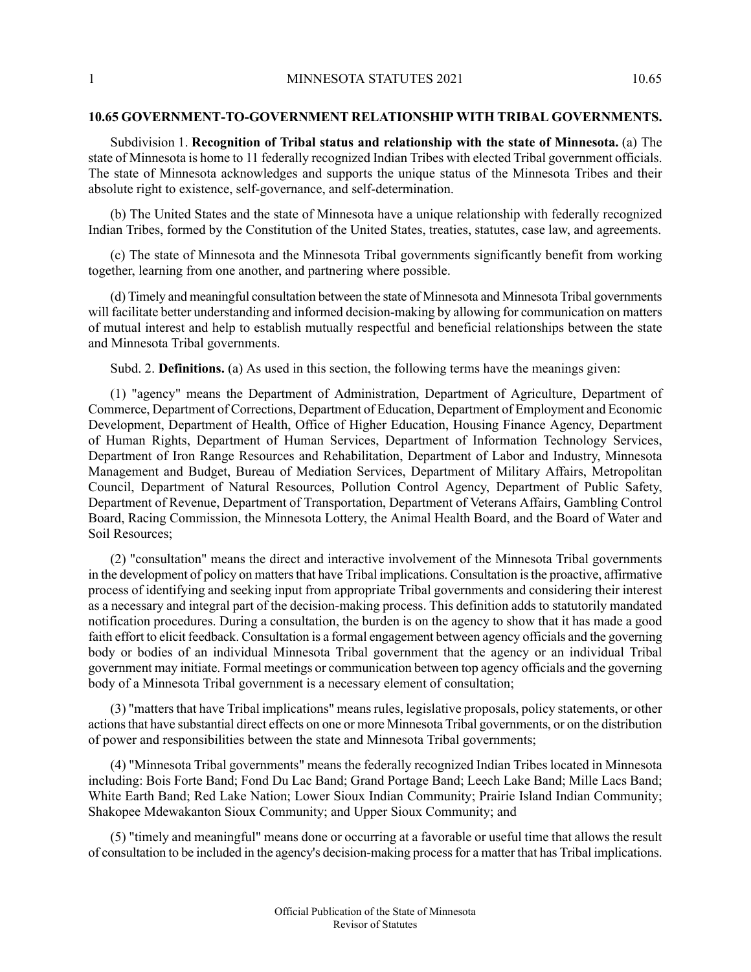## **10.65 GOVERNMENT-TO-GOVERNMENT RELATIONSHIP WITH TRIBAL GOVERNMENTS.**

Subdivision 1. **Recognition of Tribal status and relationship with the state of Minnesota.** (a) The state of Minnesota is home to 11 federally recognized Indian Tribes with elected Tribal government officials. The state of Minnesota acknowledges and supports the unique status of the Minnesota Tribes and their absolute right to existence, self-governance, and self-determination.

(b) The United States and the state of Minnesota have a unique relationship with federally recognized Indian Tribes, formed by the Constitution of the United States, treaties, statutes, case law, and agreements.

(c) The state of Minnesota and the Minnesota Tribal governments significantly benefit from working together, learning from one another, and partnering where possible.

(d) Timely and meaningful consultation between the state of Minnesota and Minnesota Tribal governments will facilitate better understanding and informed decision-making by allowing for communication on matters of mutual interest and help to establish mutually respectful and beneficial relationships between the state and Minnesota Tribal governments.

Subd. 2. **Definitions.** (a) As used in this section, the following terms have the meanings given:

(1) "agency" means the Department of Administration, Department of Agriculture, Department of Commerce, Department of Corrections, Department of Education, Department of Employment and Economic Development, Department of Health, Office of Higher Education, Housing Finance Agency, Department of Human Rights, Department of Human Services, Department of Information Technology Services, Department of Iron Range Resources and Rehabilitation, Department of Labor and Industry, Minnesota Management and Budget, Bureau of Mediation Services, Department of Military Affairs, Metropolitan Council, Department of Natural Resources, Pollution Control Agency, Department of Public Safety, Department of Revenue, Department of Transportation, Department of Veterans Affairs, Gambling Control Board, Racing Commission, the Minnesota Lottery, the Animal Health Board, and the Board of Water and Soil Resources;

(2) "consultation" means the direct and interactive involvement of the Minnesota Tribal governments in the development of policy on matters that have Tribal implications. Consultation is the proactive, affirmative process of identifying and seeking input from appropriate Tribal governments and considering their interest as a necessary and integral part of the decision-making process. This definition adds to statutorily mandated notification procedures. During a consultation, the burden is on the agency to show that it has made a good faith effort to elicit feedback. Consultation is a formal engagement between agency officials and the governing body or bodies of an individual Minnesota Tribal government that the agency or an individual Tribal government may initiate. Formal meetings or communication between top agency officials and the governing body of a Minnesota Tribal government is a necessary element of consultation;

(3) "mattersthat have Tribal implications" meansrules, legislative proposals, policy statements, or other actionsthat have substantial direct effects on one or more Minnesota Tribal governments, or on the distribution of power and responsibilities between the state and Minnesota Tribal governments;

(4) "Minnesota Tribal governments" means the federally recognized Indian Tribes located in Minnesota including: Bois Forte Band; Fond Du Lac Band; Grand Portage Band; Leech Lake Band; Mille Lacs Band; White Earth Band; Red Lake Nation; Lower Sioux Indian Community; Prairie Island Indian Community; Shakopee Mdewakanton Sioux Community; and Upper Sioux Community; and

(5) "timely and meaningful" means done or occurring at a favorable or useful time that allows the result of consultation to be included in the agency's decision-making processfor a matter that has Tribal implications.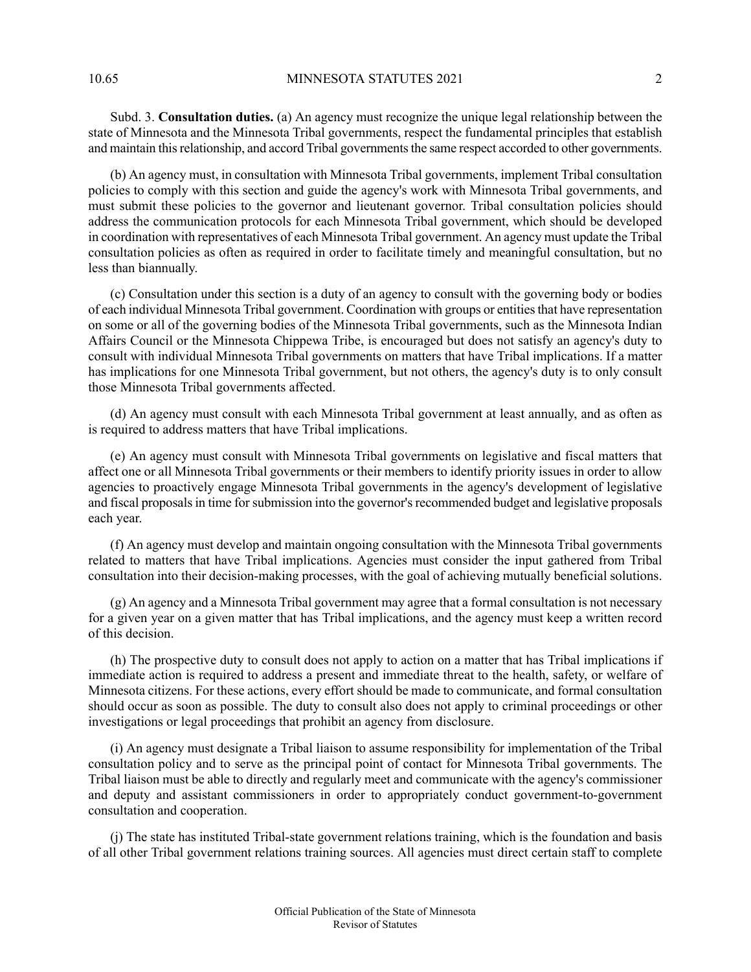10.65 MINNESOTA STATUTES 2021 2

Subd. 3. **Consultation duties.** (a) An agency must recognize the unique legal relationship between the state of Minnesota and the Minnesota Tribal governments, respect the fundamental principles that establish and maintain this relationship, and accord Tribal governments the same respect accorded to other governments.

(b) An agency must, in consultation with Minnesota Tribal governments, implement Tribal consultation policies to comply with this section and guide the agency's work with Minnesota Tribal governments, and must submit these policies to the governor and lieutenant governor. Tribal consultation policies should address the communication protocols for each Minnesota Tribal government, which should be developed in coordination with representatives of each Minnesota Tribal government. An agency must update the Tribal consultation policies as often as required in order to facilitate timely and meaningful consultation, but no less than biannually.

(c) Consultation under this section is a duty of an agency to consult with the governing body or bodies of each individual Minnesota Tribal government. Coordination with groups or entitiesthat have representation on some or all of the governing bodies of the Minnesota Tribal governments, such as the Minnesota Indian Affairs Council or the Minnesota Chippewa Tribe, is encouraged but does not satisfy an agency's duty to consult with individual Minnesota Tribal governments on matters that have Tribal implications. If a matter has implications for one Minnesota Tribal government, but not others, the agency's duty is to only consult those Minnesota Tribal governments affected.

(d) An agency must consult with each Minnesota Tribal government at least annually, and as often as is required to address matters that have Tribal implications.

(e) An agency must consult with Minnesota Tribal governments on legislative and fiscal matters that affect one or all Minnesota Tribal governments or their members to identify priority issues in order to allow agencies to proactively engage Minnesota Tribal governments in the agency's development of legislative and fiscal proposals in time for submission into the governor's recommended budget and legislative proposals each year.

(f) An agency must develop and maintain ongoing consultation with the Minnesota Tribal governments related to matters that have Tribal implications. Agencies must consider the input gathered from Tribal consultation into their decision-making processes, with the goal of achieving mutually beneficial solutions.

(g) An agency and a Minnesota Tribal government may agree that a formal consultation is not necessary for a given year on a given matter that has Tribal implications, and the agency must keep a written record of this decision.

(h) The prospective duty to consult does not apply to action on a matter that has Tribal implications if immediate action is required to address a present and immediate threat to the health, safety, or welfare of Minnesota citizens. For these actions, every effort should be made to communicate, and formal consultation should occur as soon as possible. The duty to consult also does not apply to criminal proceedings or other investigations or legal proceedings that prohibit an agency from disclosure.

(i) An agency must designate a Tribal liaison to assume responsibility for implementation of the Tribal consultation policy and to serve as the principal point of contact for Minnesota Tribal governments. The Tribal liaison must be able to directly and regularly meet and communicate with the agency's commissioner and deputy and assistant commissioners in order to appropriately conduct government-to-government consultation and cooperation.

(j) The state has instituted Tribal-state government relations training, which is the foundation and basis of all other Tribal government relations training sources. All agencies must direct certain staff to complete